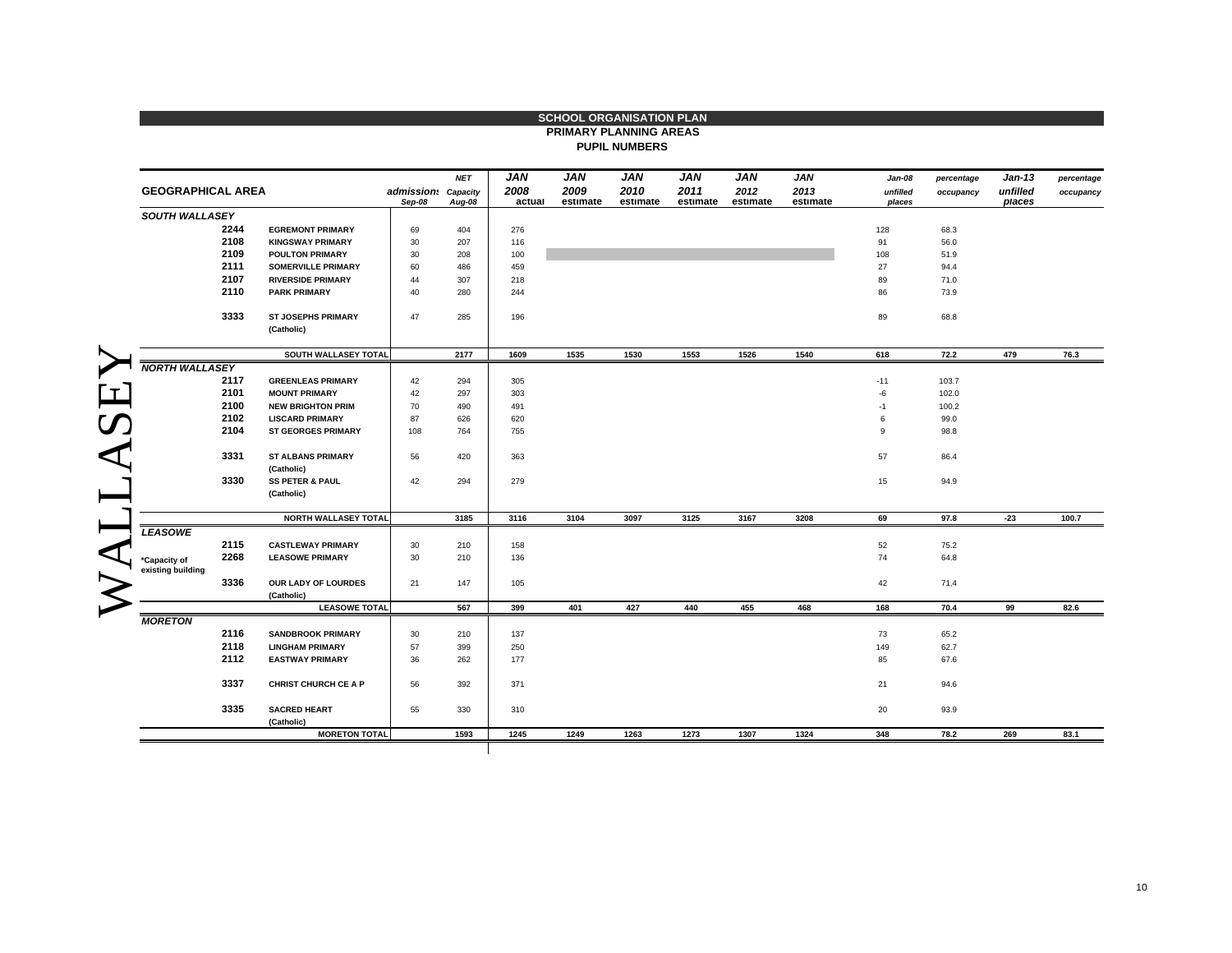|                                   |      |                                          |                               |            |                |                  | <b>SCHOOL ORGANISATION PLAN</b><br><b>PRIMARY PLANNING AREAS</b> |                  |                  |                  |                    |            |                    |            |
|-----------------------------------|------|------------------------------------------|-------------------------------|------------|----------------|------------------|------------------------------------------------------------------|------------------|------------------|------------------|--------------------|------------|--------------------|------------|
|                                   |      |                                          |                               |            |                |                  | <b>PUPIL NUMBERS</b>                                             |                  |                  |                  |                    |            |                    |            |
|                                   |      |                                          |                               |            |                |                  |                                                                  |                  |                  |                  |                    |            |                    |            |
|                                   |      |                                          |                               | <b>NET</b> | <b>JAN</b>     | <b>JAN</b>       | <b>JAN</b>                                                       | <b>JAN</b>       | <b>JAN</b>       | <b>JAN</b>       | Jan-08             | percentage | $Jan-13$           | percentage |
| <b>GEOGRAPHICAL AREA</b>          |      |                                          | admission: Capacity<br>Sep-08 | Aug-08     | 2008<br>actual | 2009<br>estimate | 2010<br>estimate                                                 | 2011<br>estimate | 2012<br>estimate | 2013<br>estimate | unfilled<br>places | occupancy  | unfilled<br>places | occupancy  |
| <b>SOUTH WALLASEY</b>             |      |                                          |                               |            |                |                  |                                                                  |                  |                  |                  |                    |            |                    |            |
|                                   | 2244 | <b>EGREMONT PRIMARY</b>                  | 69                            | 404        | 276            |                  |                                                                  |                  |                  |                  | 128                | 68.3       |                    |            |
|                                   | 2108 | <b>KINGSWAY PRIMARY</b>                  | 30                            | 207        | 116            |                  |                                                                  |                  |                  |                  | 91                 | 56.0       |                    |            |
|                                   | 2109 | <b>POULTON PRIMARY</b>                   | 30                            | 208        | 100            |                  |                                                                  |                  |                  |                  | 108                | 51.9       |                    |            |
|                                   | 2111 | <b>SOMERVILLE PRIMARY</b>                | 60                            | 486        | 459            |                  |                                                                  |                  |                  |                  | 27                 | 94.4       |                    |            |
|                                   | 2107 | <b>RIVERSIDE PRIMARY</b>                 | 44                            | 307        | 218            |                  |                                                                  |                  |                  |                  | 89                 | 71.0       |                    |            |
|                                   | 2110 | <b>PARK PRIMARY</b>                      | 40                            | 280        | 244            |                  |                                                                  |                  |                  |                  | 86                 | 73.9       |                    |            |
|                                   | 3333 | <b>ST JOSEPHS PRIMARY</b>                | 47                            | 285        | 196            |                  |                                                                  |                  |                  |                  | 89                 | 68.8       |                    |            |
|                                   |      | (Catholic)                               |                               |            |                |                  |                                                                  |                  |                  |                  |                    |            |                    |            |
|                                   |      | SOUTH WALLASEY TOTAL                     |                               | 2177       | 1609           | 1535             | 1530                                                             | 1553             | 1526             | 1540             | 618                | 72.2       | 479                | 76.3       |
| <b>NORTH WALLASEY</b>             |      |                                          |                               |            |                |                  |                                                                  |                  |                  |                  |                    |            |                    |            |
|                                   | 2117 | <b>GREENLEAS PRIMARY</b>                 | 42                            | 294        | 305            |                  |                                                                  |                  |                  |                  | $-11$              | 103.7      |                    |            |
|                                   | 2101 | <b>MOUNT PRIMARY</b>                     | 42                            | 297        | 303            |                  |                                                                  |                  |                  |                  | $-6$               | 102.0      |                    |            |
|                                   | 2100 | <b>NEW BRIGHTON PRIM</b>                 | 70                            | 490        | 491            |                  |                                                                  |                  |                  |                  | $-1$               | 100.2      |                    |            |
|                                   | 2102 | <b>LISCARD PRIMARY</b>                   | 87                            | 626        | 620            |                  |                                                                  |                  |                  |                  | 6                  | 99.0       |                    |            |
|                                   | 2104 | <b>ST GEORGES PRIMARY</b>                | 108                           | 764        | 755            |                  |                                                                  |                  |                  |                  | 9                  | 98.8       |                    |            |
|                                   | 3331 | <b>ST ALBANS PRIMARY</b>                 | 56                            | 420        | 363            |                  |                                                                  |                  |                  |                  | 57                 | 86.4       |                    |            |
|                                   | 3330 | (Catholic)<br><b>SS PETER &amp; PAUL</b> | 42                            | 294        | 279            |                  |                                                                  |                  |                  |                  | 15                 | 94.9       |                    |            |
|                                   |      | (Catholic)                               |                               |            |                |                  |                                                                  |                  |                  |                  |                    |            |                    |            |
|                                   |      | <b>NORTH WALLASEY TOTAL</b>              |                               | 3185       | 3116           | 3104             | 3097                                                             | 3125             | 3167             | 3208             | 69                 | 97.8       | $-23$              | 100.7      |
| <b>LEASOWE</b>                    |      |                                          |                               |            |                |                  |                                                                  |                  |                  |                  |                    |            |                    |            |
|                                   | 2115 | <b>CASTLEWAY PRIMARY</b>                 | 30                            | 210        | 158            |                  |                                                                  |                  |                  |                  | 52                 | 75.2       |                    |            |
| *Capacity of<br>existing building | 2268 | <b>LEASOWE PRIMARY</b>                   | 30                            | 210        | 136            |                  |                                                                  |                  |                  |                  | 74                 | 64.8       |                    |            |
|                                   | 3336 | OUR LADY OF LOURDES                      | 21                            | 147        | 105            |                  |                                                                  |                  |                  |                  | 42                 | 71.4       |                    |            |
|                                   |      | (Catholic)                               |                               |            |                |                  |                                                                  |                  |                  |                  |                    |            |                    |            |
|                                   |      | <b>LEASOWE TOTAL</b>                     |                               | 567        | 399            | 401              | 427                                                              | 440              | 455              | 468              | 168                | 70.4       | 99                 | 82.6       |
| <b>MORETON</b>                    |      |                                          |                               |            |                |                  |                                                                  |                  |                  |                  |                    |            |                    |            |
|                                   | 2116 | <b>SANDBROOK PRIMARY</b>                 | 30                            | 210        | 137            |                  |                                                                  |                  |                  |                  | 73                 | 65.2       |                    |            |
|                                   | 2118 | <b>LINGHAM PRIMARY</b>                   | 57                            | 399        | 250            |                  |                                                                  |                  |                  |                  | 149                | 62.7       |                    |            |
| 2112                              |      | <b>EASTWAY PRIMARY</b>                   | 36                            | 262        | 177            |                  |                                                                  |                  |                  |                  | 85                 | 67.6       |                    |            |
|                                   | 3337 | <b>CHRIST CHURCH CE A P</b>              | 56                            | 392        | 371            |                  |                                                                  |                  |                  |                  | 21                 | 94.6       |                    |            |
|                                   | 3335 | <b>SACRED HEART</b>                      | 55                            | 330        | 310            |                  |                                                                  |                  |                  |                  | 20                 | 93.9       |                    |            |
|                                   |      | (Catholic)                               |                               |            |                |                  |                                                                  |                  |                  |                  |                    |            |                    |            |
|                                   |      | <b>MORETON TOTAL</b>                     |                               | 1593       | 1245           | 1249             | 1263                                                             | 1273             | 1307             | 1324             | 348                | 78.2       | 269                | 83.1       |

 $\mathbf{r}$ 

Þ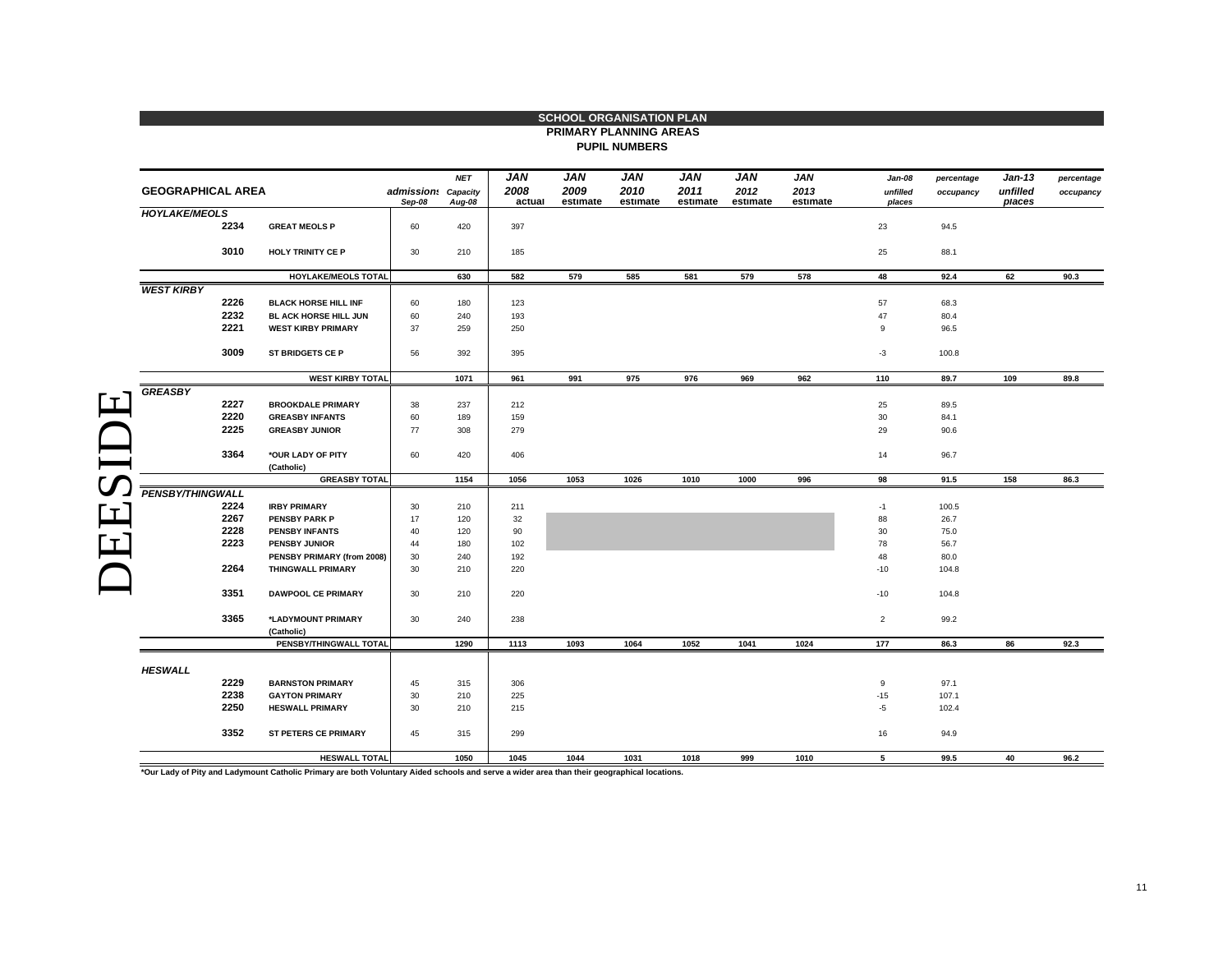|                          |      |                             |                               |            |            | <b>SCHOOL ORGANISATION PLAN</b> |                      |            |            |                    |                    |            |                      |            |
|--------------------------|------|-----------------------------|-------------------------------|------------|------------|---------------------------------|----------------------|------------|------------|--------------------|--------------------|------------|----------------------|------------|
|                          |      |                             |                               |            |            | <b>PRIMARY PLANNING AREAS</b>   |                      |            |            |                    |                    |            |                      |            |
|                          |      |                             |                               |            |            |                                 | <b>PUPIL NUMBERS</b> |            |            |                    |                    |            |                      |            |
|                          |      |                             |                               |            | <b>JAN</b> | <b>JAN</b>                      | <b>JAN</b>           | <b>JAN</b> | <b>JAN</b> |                    |                    |            |                      |            |
| <b>GEOGRAPHICAL AREA</b> |      |                             |                               | <b>NET</b> | 2008       | 2009                            | 2010                 | 2011       | 2012       | <b>JAN</b><br>2013 | Jan-08             | percentage | $Jan-13$<br>unfilled | percentage |
|                          |      |                             | admission: Capacity<br>Sep-08 | Aug-08     | actual     | estimate                        | estimate             | estimate   | estimate   | estimate           | unfilled<br>places | occupancy  | places               | occupancy  |
| <b>HOYLAKE/MEOLS</b>     |      |                             |                               |            |            |                                 |                      |            |            |                    |                    |            |                      |            |
|                          | 2234 | <b>GREAT MEOLS P</b>        | 60                            | 420        | 397        |                                 |                      |            |            |                    | 23                 | 94.5       |                      |            |
|                          | 3010 | <b>HOLY TRINITY CE P</b>    | 30                            | 210        | 185        |                                 |                      |            |            |                    | 25                 | 88.1       |                      |            |
|                          |      | HOYLAKE/MEOLS TOTAL         |                               | 630        | 582        | 579                             | 585                  | 581        | 579        | 578                | 48                 | 92.4       | 62                   | 90.3       |
| <b>WEST KIRBY</b>        |      |                             |                               |            |            |                                 |                      |            |            |                    |                    |            |                      |            |
|                          | 2226 | <b>BLACK HORSE HILL INF</b> | 60                            | 180        | 123        |                                 |                      |            |            |                    | 57                 | 68.3       |                      |            |
|                          | 2232 | BL ACK HORSE HILL JUN       | 60                            | 240        | 193        |                                 |                      |            |            |                    | 47                 | 80.4       |                      |            |
|                          | 2221 | <b>WEST KIRBY PRIMARY</b>   | 37                            | 259        | 250        |                                 |                      |            |            |                    | 9                  | 96.5       |                      |            |
|                          | 3009 | ST BRIDGETS CE P            | 56                            | 392        | 395        |                                 |                      |            |            |                    | $-3$               | 100.8      |                      |            |
|                          |      | <b>WEST KIRBY TOTAL</b>     |                               | 1071       | 961        | 991                             | 975                  | 976        | 969        | 962                | 110                | 89.7       | 109                  | 89.8       |
| <b>GREASBY</b>           |      |                             |                               |            |            |                                 |                      |            |            |                    |                    |            |                      |            |
|                          | 2227 | <b>BROOKDALE PRIMARY</b>    | 38                            | 237        | 212        |                                 |                      |            |            |                    | 25                 | 89.5       |                      |            |
|                          | 2220 | <b>GREASBY INFANTS</b>      | 60                            | 189        | 159        |                                 |                      |            |            |                    | 30                 | 84.1       |                      |            |
|                          | 2225 | <b>GREASBY JUNIOR</b>       | 77                            | 308        | 279        |                                 |                      |            |            |                    | 29                 | 90.6       |                      |            |
|                          |      |                             |                               |            |            |                                 |                      |            |            |                    |                    |            |                      |            |
|                          | 3364 | *OUR LADY OF PITY           | 60                            | 420        | 406        |                                 |                      |            |            |                    | 14                 | 96.7       |                      |            |
|                          |      | (Catholic)                  |                               |            |            |                                 |                      |            |            |                    |                    |            |                      |            |
|                          |      | <b>GREASBY TOTAL</b>        |                               | 1154       | 1056       | 1053                            | 1026                 | 1010       | 1000       | 996                | 98                 | 91.5       | 158                  | 86.3       |
| PENSBY/THINGWALL         |      |                             |                               |            |            |                                 |                      |            |            |                    |                    |            |                      |            |
|                          | 2224 | <b>IRBY PRIMARY</b>         | 30                            | 210        | 211        |                                 |                      |            |            |                    | $-1$               | 100.5      |                      |            |
|                          | 2267 | <b>PENSBY PARK P</b>        | 17                            | 120        | 32         |                                 |                      |            |            |                    | 88                 | 26.7       |                      |            |
|                          | 2228 | <b>PENSBY INFANTS</b>       | 40                            | 120        | 90         |                                 |                      |            |            |                    | 30                 | 75.0       |                      |            |
|                          | 2223 | PENSBY JUNIOR               | 44                            | 180        | 102        |                                 |                      |            |            |                    | 78                 | 56.7       |                      |            |
|                          |      | PENSBY PRIMARY (from 2008)  | 30                            | 240        | 192        |                                 |                      |            |            |                    | 48                 | 80.0       |                      |            |
|                          | 2264 | <b>THINGWALL PRIMARY</b>    | 30                            | 210        | 220        |                                 |                      |            |            |                    | $-10$              | 104.8      |                      |            |
|                          | 3351 | <b>DAWPOOL CE PRIMARY</b>   | 30                            | 210        | 220        |                                 |                      |            |            |                    | $-10$              | 104.8      |                      |            |
|                          | 3365 | *LADYMOUNT PRIMARY          | 30                            | 240        | 238        |                                 |                      |            |            |                    | $\overline{2}$     | 99.2       |                      |            |
|                          |      | (Catholic)                  |                               |            |            |                                 |                      |            |            |                    |                    |            |                      |            |
|                          |      | PENSBY/THINGWALL TOTAL      |                               | 1290       | 1113       | 1093                            | 1064                 | 1052       | 1041       | 1024               | 177                | 86.3       | 86                   | 92.3       |
|                          |      |                             |                               |            |            |                                 |                      |            |            |                    |                    |            |                      |            |
| <b>HESWALL</b>           |      |                             |                               |            |            |                                 |                      |            |            |                    |                    |            |                      |            |
|                          | 2229 | <b>BARNSTON PRIMARY</b>     | 45                            | 315        | 306        |                                 |                      |            |            |                    | 9                  | 97.1       |                      |            |
|                          | 2238 | <b>GAYTON PRIMARY</b>       | 30                            | 210        | 225        |                                 |                      |            |            |                    | $-15$              | 107.1      |                      |            |
|                          | 2250 | <b>HESWALL PRIMARY</b>      | 30                            | 210        | 215        |                                 |                      |            |            |                    | $-5$               | 102.4      |                      |            |
|                          | 3352 | <b>ST PETERS CE PRIMARY</b> | 45                            | 315        | 299        |                                 |                      |            |            |                    | 16                 | 94.9       |                      |            |
|                          |      | <b>HESWALL TOTAL</b>        |                               | 1050       | 1045       | 1044                            | 1031                 | 1018       | 999        | 1010               | 5                  | 99.5       | 40                   | 96.2       |
|                          |      |                             |                               |            |            |                                 |                      |            |            |                    |                    |            |                      |            |

**\*Our Lady of Pity and Ladymount Catholic Primary are both Voluntary Aided schools and serve a wider area than their geographical locations.**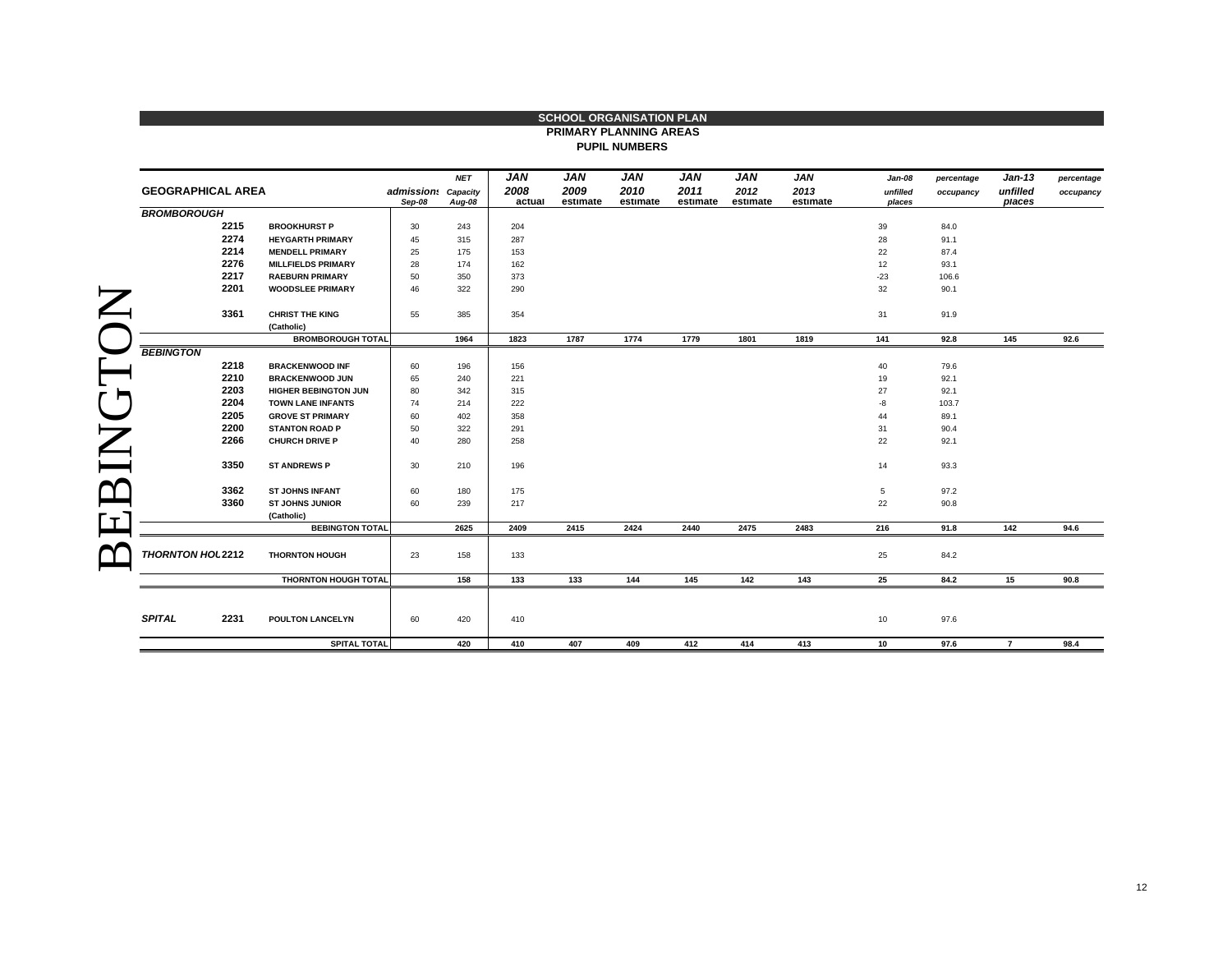|                          |                                      |                               |            |                |                  | PRIMARY PLANNING AREAS |                  |                  |                  |                    |            |                    |            |
|--------------------------|--------------------------------------|-------------------------------|------------|----------------|------------------|------------------------|------------------|------------------|------------------|--------------------|------------|--------------------|------------|
|                          |                                      |                               |            |                |                  | <b>PUPIL NUMBERS</b>   |                  |                  |                  |                    |            |                    |            |
|                          |                                      |                               | <b>NET</b> | <b>JAN</b>     | <b>JAN</b>       | <b>JAN</b>             | <b>JAN</b>       | <b>JAN</b>       | <b>JAN</b>       | Jan-08             | percentage | $Jan-13$           | percentage |
| <b>GEOGRAPHICAL AREA</b> |                                      | admission: Capacity<br>Sep-08 | Aug-08     | 2008<br>actual | 2009<br>estimate | 2010<br>estimate       | 2011<br>estimate | 2012<br>estimate | 2013<br>estimate | unfilled<br>places | occupancy  | unfilled<br>places | occupancy  |
| <b>BROMBOROUGH</b>       |                                      |                               |            |                |                  |                        |                  |                  |                  |                    |            |                    |            |
| 2215                     | <b>BROOKHURST P</b>                  | 30                            | 243        | 204            |                  |                        |                  |                  |                  | 39                 | 84.0       |                    |            |
| 2274                     | <b>HEYGARTH PRIMARY</b>              | 45                            | 315        | 287            |                  |                        |                  |                  |                  | 28                 | 91.1       |                    |            |
| 2214                     | <b>MENDELL PRIMARY</b>               | 25                            | 175        | 153            |                  |                        |                  |                  |                  | 22                 | 87.4       |                    |            |
| 2276                     | <b>MILLFIELDS PRIMARY</b>            | 28                            | 174        | 162            |                  |                        |                  |                  |                  | 12                 | 93.1       |                    |            |
| 2217                     | <b>RAEBURN PRIMARY</b>               | 50                            | 350        | 373            |                  |                        |                  |                  |                  | $-23$              | 106.6      |                    |            |
| 2201                     | <b>WOODSLEE PRIMARY</b>              | 46                            | 322        | 290            |                  |                        |                  |                  |                  | 32                 | 90.1       |                    |            |
| 3361                     | <b>CHRIST THE KING</b>               | 55                            | 385        | 354            |                  |                        |                  |                  |                  | 31                 | 91.9       |                    |            |
|                          | (Catholic)                           |                               |            |                |                  |                        |                  |                  |                  |                    |            |                    |            |
|                          | <b>BROMBOROUGH TOTAL</b>             |                               | 1964       | 1823           | 1787             | 1774                   | 1779             | 1801             | 1819             | 141                | 92.8       | 145                | 92.6       |
| <b>BEBINGTON</b>         |                                      |                               |            |                |                  |                        |                  |                  |                  |                    |            |                    |            |
| 2218                     | <b>BRACKENWOOD INF</b>               | 60                            | 196        | 156            |                  |                        |                  |                  |                  | 40                 | 79.6       |                    |            |
| 2210                     | <b>BRACKENWOOD JUN</b>               | 65                            | 240        | 221            |                  |                        |                  |                  |                  | 19                 | 92.1       |                    |            |
| 2203                     | <b>HIGHER BEBINGTON JUN</b>          | 80                            | 342        | 315            |                  |                        |                  |                  |                  | 27                 | 92.1       |                    |            |
| 2204                     | <b>TOWN LANE INFANTS</b>             | 74                            | 214        | 222            |                  |                        |                  |                  |                  | $-8$               | 103.7      |                    |            |
| 2205                     | <b>GROVE ST PRIMARY</b>              | 60                            | 402        | 358            |                  |                        |                  |                  |                  | 44                 | 89.1       |                    |            |
| 2200                     | <b>STANTON ROAD P</b>                | 50                            | 322        | 291            |                  |                        |                  |                  |                  | 31                 | 90.4       |                    |            |
| 2266                     | <b>CHURCH DRIVE P</b>                | 40                            | 280        | 258            |                  |                        |                  |                  |                  | 22                 | 92.1       |                    |            |
| 3350                     | <b>ST ANDREWS P</b>                  | 30                            | 210        | 196            |                  |                        |                  |                  |                  | 14                 | 93.3       |                    |            |
| 3362                     | <b>ST JOHNS INFANT</b>               | 60                            | 180        | 175            |                  |                        |                  |                  |                  | 5                  | 97.2       |                    |            |
| 3360                     | <b>ST JOHNS JUNIOR</b>               | 60                            | 239        | 217            |                  |                        |                  |                  |                  | 22                 | 90.8       |                    |            |
|                          | (Catholic)<br><b>BEBINGTON TOTAL</b> |                               | 2625       | 2409           | 2415             | 2424                   | 2440             | 2475             | 2483             | 216                | 91.8       | 142                | 94.6       |
|                          |                                      |                               |            |                |                  |                        |                  |                  |                  |                    |            |                    |            |
| THORNTON HOL 2212        | <b>THORNTON HOUGH</b>                | 23                            | 158        | 133            |                  |                        |                  |                  |                  | 25                 | 84.2       |                    |            |
|                          | <b>THORNTON HOUGH TOTAL</b>          |                               | 158        | 133            | 133              | 144                    | 145              | 142              | 143              | 25                 | 84.2       | 15                 | 90.8       |
|                          |                                      |                               |            |                |                  |                        |                  |                  |                  |                    |            |                    |            |
| <b>SPITAL</b><br>2231    | <b>POULTON LANCELYN</b>              | 60                            | 420        | 410            |                  |                        |                  |                  |                  | 10                 | 97.6       |                    |            |
|                          | SPITAL TOTAL                         |                               | 420        | 410            | 407              | 409                    | 412              | 414              | 413              | 10 <sup>1</sup>    | 97.6       | $\overline{7}$     | 98.4       |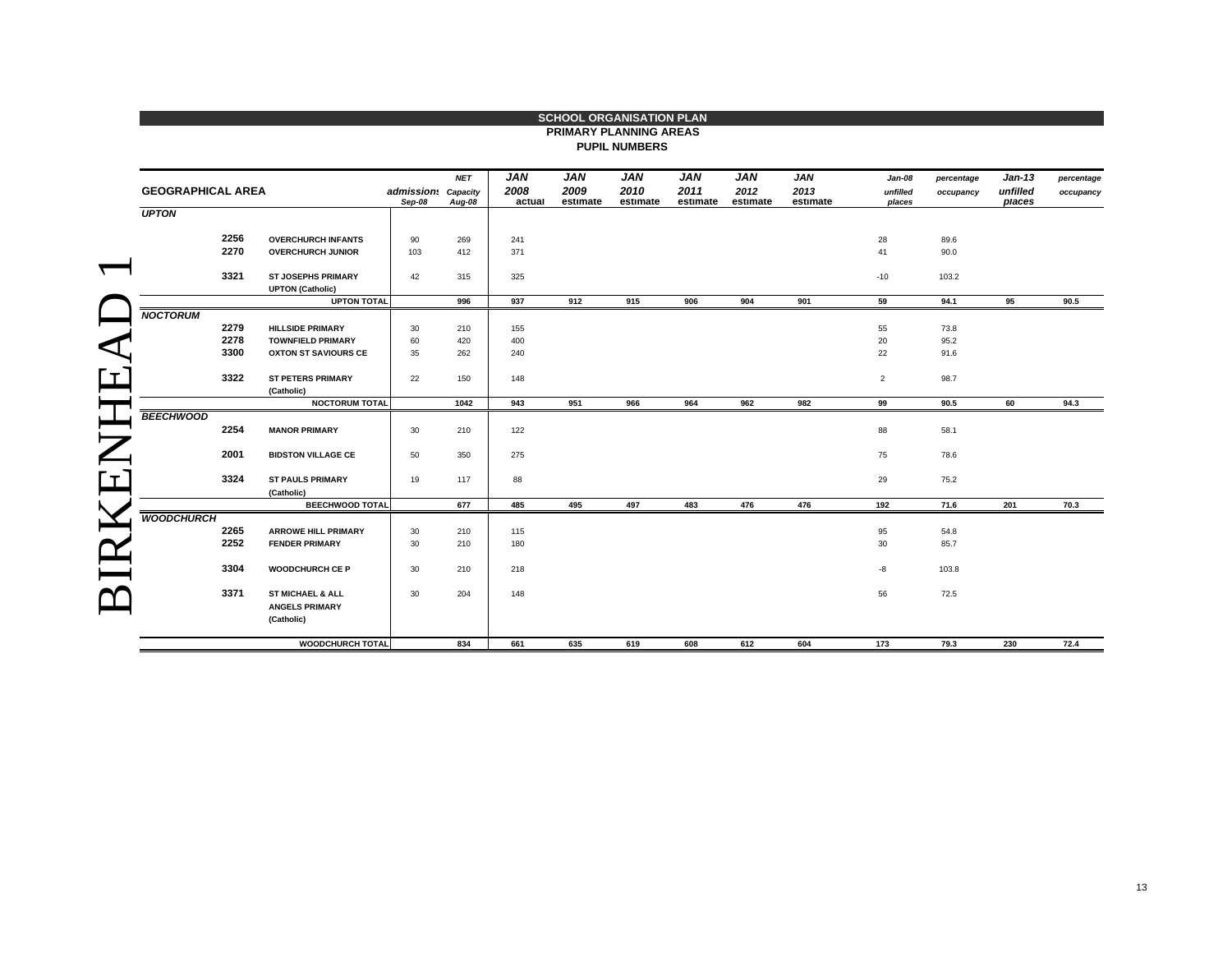|                          |                                                                    |        |                               |                |                  | <b>PRIMARY PLANNING AREAS</b><br><b>PUPIL NUMBERS</b> |                  |                  |                  |                    |            |                    |            |
|--------------------------|--------------------------------------------------------------------|--------|-------------------------------|----------------|------------------|-------------------------------------------------------|------------------|------------------|------------------|--------------------|------------|--------------------|------------|
|                          |                                                                    |        | <b>NET</b>                    | JAN            | JAN              | JAN                                                   | <b>JAN</b>       | JAN              | <b>JAN</b>       | Jan-08             | percentage | <b>Jan-13</b>      | percentage |
|                          | <b>GEOGRAPHICAL AREA</b>                                           |        | admission: Capacity<br>Aug-08 | 2008<br>actual | 2009<br>estimate | 2010<br>estimate                                      | 2011<br>estimate | 2012<br>estimate | 2013<br>estimate | unfilled<br>places | occupancy  | unfilled<br>places | occupancy  |
| <b>UPTON</b>             |                                                                    | Sep-08 |                               |                |                  |                                                       |                  |                  |                  |                    |            |                    |            |
| 2256                     | <b>OVERCHURCH INFANTS</b>                                          | 90     | 269                           | 241            |                  |                                                       |                  |                  |                  | 28                 | 89.6       |                    |            |
| 2270                     | <b>OVERCHURCH JUNIOR</b>                                           | 103    | 412                           | 371            |                  |                                                       |                  |                  |                  | 41                 | 90.0       |                    |            |
| 3321                     | <b>ST JOSEPHS PRIMARY</b><br><b>UPTON (Catholic)</b>               | 42     | 315                           | 325            |                  |                                                       |                  |                  |                  | $-10$              | 103.2      |                    |            |
|                          | <b>UPTON TOTAL</b>                                                 |        | 996                           | 937            | 912              | 915                                                   | 906              | 904              | 901              | 59                 | 94.1       | 95                 | 90.5       |
| <b>NOCTORUM</b>          |                                                                    |        |                               |                |                  |                                                       |                  |                  |                  |                    |            |                    |            |
| 2279                     | <b>HILLSIDE PRIMARY</b>                                            | 30     | 210                           | 155            |                  |                                                       |                  |                  |                  | 55                 | 73.8       |                    |            |
| 2278<br>3300             | <b>TOWNFIELD PRIMARY</b>                                           | 60     | 420                           | 400            |                  |                                                       |                  |                  |                  | 20                 | 95.2       |                    |            |
|                          | <b>OXTON ST SAVIOURS CE</b>                                        | 35     | 262                           | 240            |                  |                                                       |                  |                  |                  | 22                 | 91.6       |                    |            |
| 3322                     | <b>ST PETERS PRIMARY</b><br>(Catholic)                             | 22     | 150                           | 148            |                  |                                                       |                  |                  |                  | $\overline{2}$     | 98.7       |                    |            |
|                          | <b>NOCTORUM TOTAL</b>                                              |        | 1042                          | 943            | 951              | 966                                                   | 964              | 962              | 982              | 99                 | 90.5       | 60                 | 94.3       |
| <b>BEECHWOOD</b><br>2254 | <b>MANOR PRIMARY</b>                                               | 30     | 210                           | 122            |                  |                                                       |                  |                  |                  | 88                 | 58.1       |                    |            |
| 2001                     | <b>BIDSTON VILLAGE CE</b>                                          | 50     | 350                           | 275            |                  |                                                       |                  |                  |                  | 75                 | 78.6       |                    |            |
| 3324                     | <b>ST PAULS PRIMARY</b><br>(Catholic)                              | 19     | 117                           | 88             |                  |                                                       |                  |                  |                  | 29                 | 75.2       |                    |            |
|                          | <b>BEECHWOOD TOTAL</b>                                             |        | 677                           | 485            | 495              | 497                                                   | 483              | 476              | 476              | 192                | 71.6       | 201                | 70.3       |
| <b>WOODCHURCH</b>        |                                                                    |        |                               |                |                  |                                                       |                  |                  |                  |                    |            |                    |            |
| 2265                     | <b>ARROWE HILL PRIMARY</b>                                         | 30     | 210                           | 115            |                  |                                                       |                  |                  |                  | 95                 | 54.8       |                    |            |
| 2252                     | <b>FENDER PRIMARY</b>                                              | 30     | 210                           | 180            |                  |                                                       |                  |                  |                  | 30                 | 85.7       |                    |            |
| 3304                     | <b>WOODCHURCH CE P</b>                                             | 30     | 210                           | 218            |                  |                                                       |                  |                  |                  | -8                 | 103.8      |                    |            |
| 3371                     | <b>ST MICHAEL &amp; ALL</b><br><b>ANGELS PRIMARY</b><br>(Catholic) | 30     | 204                           | 148            |                  |                                                       |                  |                  |                  | 56                 | 72.5       |                    |            |
|                          | <b>WOODCHURCH TOTAL</b>                                            |        | 834                           | 661            | 635              | 619                                                   | 608              | 612              | 604              | 173                | 79.3       | 230                | 72.4       |

## **SCHOOL ORGANISATION PLAN**